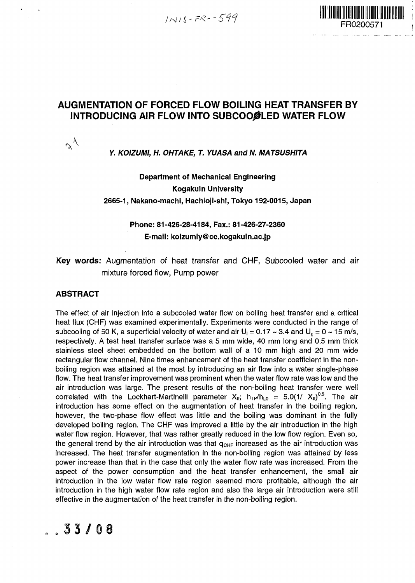$1NIS-FR-599$ 



#### **AUGMENTATION OF FORCED FLOW BOILING HEAT TRANSFER BY INTRODUCING AIR FLOW INTO SUBCOOØLED WATER FLOW**

#### **Y. KOIZUMI, H. OHTAKE, T. YUASA and N. MATSUSHITA**

#### **Department of Mechanical Engineering Kogakuin University 2665-1, Nakano-machi, Hachioji-shi, Tokyo 192-0015, Japan**

#### **Phone: 81-426-28-4184, Fax.: 81-426-27-2360 E-mail: koizumiy@cc.kogakuin.ac.jp**

**Key words:** Augmentation of heat transfer and CHF, Subcooled water and air mixture forced flow, Pump power

#### **ABSTRACT**

 $\gamma^{\lambda}$ 

The effect of air injection into a subcooled water flow on boiling heat transfer and a critical heat flux (CHF) was examined experimentally. Experiments were conducted in the range of subcooling of 50 K, a superficial velocity of water and air  $U_1 = 0.17 \sim 3.4$  and  $U_0 = 0 \sim 15$  m/s, respectively. A test heat transfer surface was a 5 mm wide, 40 mm long and 0.5 mm thick stainless steel sheet embedded on the bottom wall of a 10 mm high and 20 mm wide rectangular flow channel. Nine times enhancement of the heat transfer coefficient in the nonboiling region was attained at the most by introducing an air flow into a water single-phase flow. The heat transfer improvement was prominent when the water flow rate was low and the air introduction was large. The present results of the non-boiling heat transfer were well correlated with the Lockhart-Martinelli parameter  $X_{\text{tt}}$ ;  $h_{\text{TP}}/h_{\text{LO}} = 5.0(1/|X_{\text{tt}}|)^{0.5}$ . The air introduction has some effect on the augmentation of heat transfer in the boiling region, however, the two-phase flow effect was little and the boiling was dominant in the fully developed boiling region. The CHF was improved a little by the air introduction in the high water flow region. However, that was rather greatly reduced in the low flow region. Even so, the general trend by the air introduction was that  $q_{CHF}$  increased as the air introduction was increased. The heat transfer augmentation in the non-boiling region was attained by less power increase than that in the case that only the water flow rate was increased. From the aspect of the power consumption and the heat transfer enhancement, the small air introduction in the low water flow rate region seemed more profitable, although the air introduction in the high water flow rate region and also the large air introduction were still effective in the augmentation of the heat transfer in the non-boiling region.

 $8.33/08$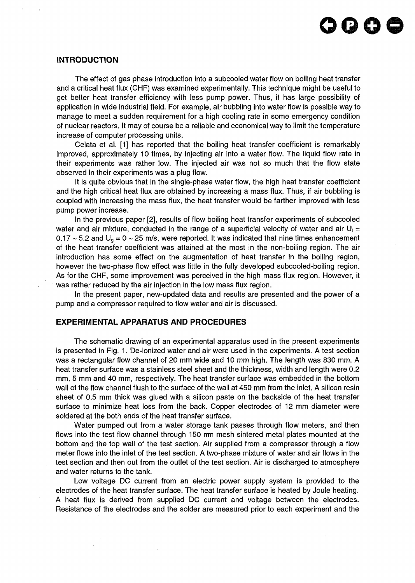#### **INTRODUCTION**

The effect of gas phase introduction into a subcooled water flow on boiling heat transfer and a critical heat flux (CHF) was examined experimentally. This technique might be useful to get better heat transfer efficiency with less pump power. Thus, it has large possibility of application in wide industrial field. For example, air bubbling into water flow is possible way to manage to meet a sudden requirement for a high cooling rate in some emergency condition of nuclear reactors. It may of course be a reliable and economical way to limit the temperature increase of computer processing units.

Celata et al. [1] has reported that the boiling heat transfer coefficient is remarkably improved, approximately 10 times, by injecting air into a water flow. The liquid flow rate in their experiments was rather low. The injected air was not so much that the flow state observed in their experiments was a plug flow.

It is quite obvious that in the single-phase water flow, the high heat transfer coefficient and the high critical heat flux are obtained by increasing a mass flux. Thus, if air bubbling is coupled with increasing the mass flux, the heat transfer would be farther improved with less pump power increase.

In the previous paper [2], results of flow boiling heat transfer experiments of subcooled water and air mixture, conducted in the range of a superficial velocity of water and air  $U_1 =$ 0.17  $\sim$  5.2 and U<sub>g</sub> = 0  $\sim$  25 m/s, were reported. It was indicated that nine times enhancement of the heat transfer coefficient was attained at the most in the non-boiling region. The air introduction has some effect on the augmentation of heat transfer in the boiling region, however the two-phase flow effect was little in the fully developed subcooled-boiling region. As for the CHF, some improvement was perceived in the high mass flux region. However, it was rather reduced by the air injection in the low mass flux region.

In the present paper, new-updated data and results are presented and the power of a pump and a compressor required to flow water and air is discussed.

#### **EXPERIMENTAL APPARATUS AND PROCEDURES**

The schematic drawing of an experimental apparatus used in the present experiments is presented in Fig. 1. De-ionized water and air were used in the experiments. A test section was a rectangular flow channel of 20 mm wide and 10 mm high. The length was 830 mm. A heat transfer surface was a stainless steel sheet and the thickness, width and length were 0.2 mm, 5 mm and 40 mm, respectively. The heat transfer surface was embedded in the bottom wall of the flow channel flush to the surface of the wall at 450 mm from the inlet. A silicon resin sheet of 0.5 mm thick was glued with a silicon paste on the backside of the heat transfer surface to minimize heat loss from the back. Copper electrodes of 12 mm diameter were soldered at the both ends of the heat transfer surface.

Water pumped out from a water storage tank passes through flow meters, and then flows into the test flow channel through 150 rm mesh sintered metal plates mounted at the bottom and the top wall of the test section. Air supplied from a compressor through a flow meter flows into the inlet of the test section. A two-phase mixture of water and air flows in the test section and then out from the outlet of the test section. Air is discharged to atmosphere and water returns to the tank.

Low voltage DC current from an electric power supply system is provided to the electrodes of the heat transfer surface. The heat transfer surface is heated by Joule heating. A heat flux is derived from supplied DC current and voltage between the electrodes. Resistance of the electrodes and the solder are measured prior to each experiment and the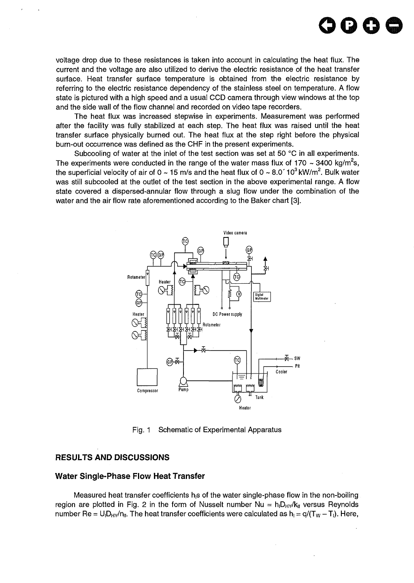

voltage drop due to these resistances is taken into account in calculating the heat flux. The current and the voltage are also utilized to derive the electric resistance of the heat transfer surface. Heat transfer surface temperature is obtained from the electric resistance by referring to the electric resistance dependency of the stainless steel on temperature. A flow state is pictured with a high speed and a usual CCD camera through view windows at the top and the side wall of the flow channel and recorded on video tape recorders.

The heat flux was increased stepwise in experiments. Measurement was performed after the facility was fully stabilized at each step. The heat flux was raised until the heat transfer surface physically burned out. The heat flux at the step right before the physical burn-out occurrence was defined as the CHF in the present experiments.

Subcooling of water at the inlet of the test section was set at 50 °C in all experiments. The experiments were conducted in the range of the water mass flux of 170 ~ 3400 kg/m<sup>2</sup>s, the superficial velocity of air of 0 ~ 15 m/s and the heat flux of 0 ~ 8.0´ 10 $^3$ kW/m $^2$ . Bulk water was still subcooled at the outlet of the test section in the above experimental range. A flow state covered a dispersed-annular flow through a slug flow under the combination of the water and the air flow rate aforementioned according to the Baker chart [3].



Fig. 1 Schematic of Experimental Apparatus

#### RESULTS AND DISCUSSIONS

#### Water Single-Phase Flow Heat Transfer

Measured heat transfer coefficients h $\beta$  of the water single-phase flow in the non-boiling region are plotted in Fig. 2 in the form of Nusselt number Nu =  $h_1D_H/K_H$  versus Reynolds number Re =  $U_1D_Hv/n_H$ . The heat transfer coefficients were calculated as  $h_1 = q/(T_W - T_I)$ . Here,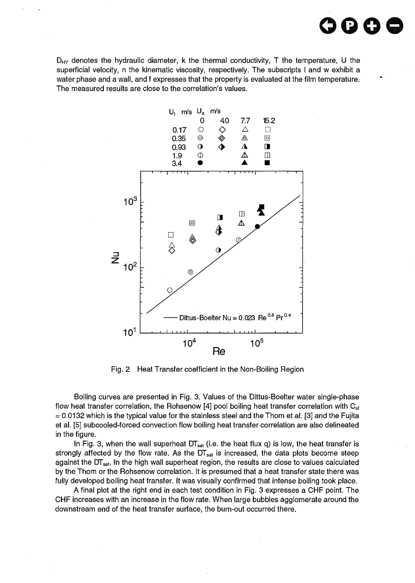$D_{HY}$  denotes the hydraulic diameter, k the thermal conductivity, T the temperature, U the superficial velocity, n the kinematic viscosity, respectively. The subscripts I and w exhibit a water phase and a wall, and f expresses that the property is evaluated at the film temperature. The measured results are close to the correlation's values.

**oooe**



Fig. 2 Heat Transfer coefficient in the Non-Boiling Region

Boiling curves are presented in Fig. 3. Values of the Dittus-Boelter water single-phase flow heat transfer correlation, the Rohsenow [4] pool boiling heat transfer correlation with  $C_{\rm sf}$  $=$  0.0132 which is the typical value for the stainless steel and the Thom et al. [3] and the Fujita et al. [5] subcooled-forced convection flow boiling heat transfer correlation are also delineated in the figure.

In Fig. 3, when the wall superheat  $DT_{sat}$  (i.e. the heat flux q) is low, the heat transfer is strongly affected by the flow rate. As the  $DT_{sat}$  is increased, the data plots become steep against the DT<sub>sat</sub>. In the high wall superheat region, the results are close to values calculated by the Thom or the Rohsenow correlation. It is presumed that a heat transfer state there was fully developed boiling heat transfer. It was visually confirmed that intense boiling took place.

A final plot at the right end in each test condition in Fig. 3 expresses a CHF point. The CHF increases with an increase in the flow rate. When large bubbles agglomerate around the downstream end of the heat transfer surface, the burn-out occurred there.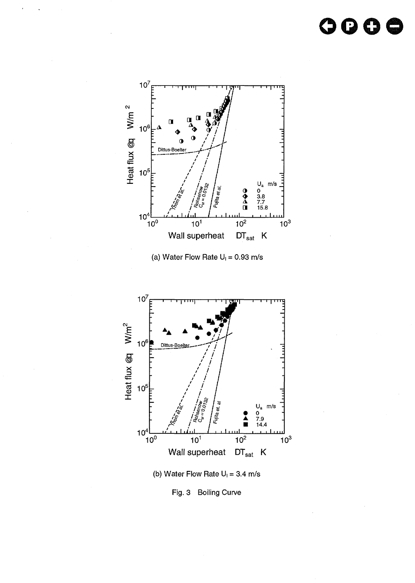### oooo



(a) Water Flow Rate  $U_1 = 0.93$  m/s



Fig. 3 Boiling Curve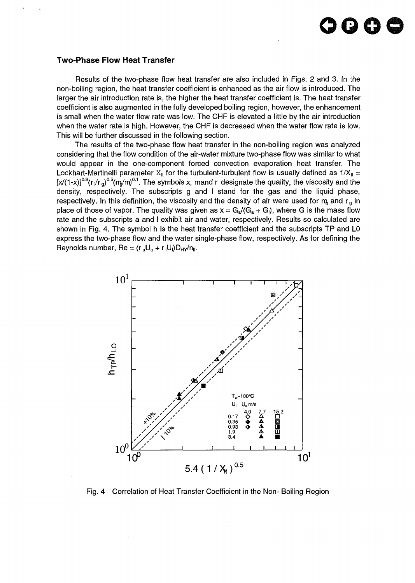## **oooo**

#### Two-Phase Flow Heat Transfer

Results of the two-phase flow heat transfer are also included in Figs. 2 and 3. In the non-boiling region, the heat transfer coefficient is enhanced as the air flow is introduced. The larger the air introduction rate is, the higher the heat transfer coefficient is. The heat transfer coefficient is also augmented in the fully developed boiling region, however, the enhancement is small when the water flow rate was low. The CHF is elevated a little by the air introduction when the water rate is high. However, the CHF is decreased when the water flow rate is low. This will be further discussed in the following section.

The results of the two-phase flow heat transfer in the non-boiling region was analyzed considering that the flow condition of the air-water mixture two-phase flow was similar to what would appear in the one-component forced convection evaporation heat transfer. The Lockhart-Martinelli parameter  $X_{tt}$  for the turbulent-turbulent flow is usually defined as  $1/X_{tt}$  = [x/(1-x)] $^{0.9}$ (r $\sqrt{r}$ <sub>g</sub>) $^{0.5}$ (m̥/m̥) $^{0.1}$ . The symbols x, mand r designate the quality, the viscosity and the density, respectively. The subscripts g and I stand for the gas and the liquid phase, respectively. In this definition, the viscosity and the density of air were used for  $m_a$  and  $r_a$  in place of those of vapor. The quality was given as  $x = G_a/G_a + G_i$ , where G is the mass flow rate and the subscripts a and I exhibit air and water, respectively. Results so calculated are shown in Fig. 4. The symbol h is the heat transfer coefficient and the subscripts TP and LO express the two-phase flow and the water single-phase flow, respectively. As for defining the Reynolds number,  $Re = (r_a U_a + r_i U_i)D_{HY}/n_{H}$ .



Fig. 4 Correlation of Heat Transfer Coefficient in the Non- Boiling Region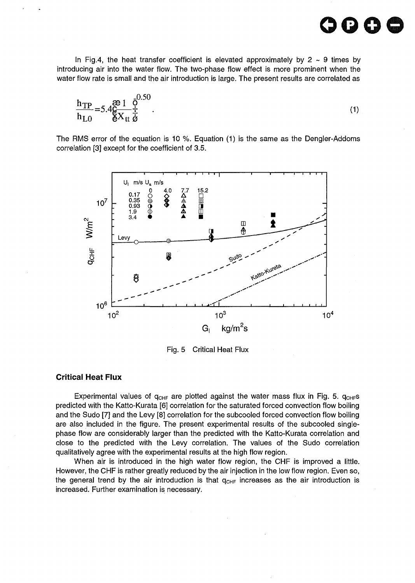In Fig.4, the heat transfer coefficient is elevated approximately by  $2 \sim 9$  times by introducing air into the water flow. The two-phase flow effect is more prominent when the water flow rate is small and the air introduction is large. The present results are correlated as

$$
\frac{h_{TP}}{h_{LO}} = 5.4 \frac{\mathcal{P}}{\mathcal{E}} \frac{1}{X_{tt}} \frac{\mathcal{P}}{\dot{\mathcal{E}}}}{\mathcal{E}}.
$$
\n(1)

The RMS error of the equation is 10 %. Equation (1) is the same as the Dengler-Addoms correlation [3] except for the coefficient of 3.5.



Fig. 5 Critical Heat Flux

#### **Critical Heat Flux**

Experimental values of  $q_{CHF}$  are plotted against the water mass flux in Fig. 5.  $q_{CHF}$ s predicted with the Katto-Kurata [6] correlation for the saturated forced convection flow boiling and the Sudo [7] and the Levy [8] correlation for the subcooled forced convection flow boiling are also included in the figure. The present experimental results of the subcooled singlephase flow are considerably larger than the predicted with the Katto-Kurata correlation and close to the predicted with the Levy correlation. The values of the Sudo correlation qualitatively agree with the experimental results at the high flow region.

When air is introduced in the high water flow region, the CHF is improved a little. However, the CHF is rather greatly reduced by the air injection in the low flow region. Even so, the general trend by the air introduction is that  $q_{CHF}$  increases as the air introduction is increased. Further examination is necessary.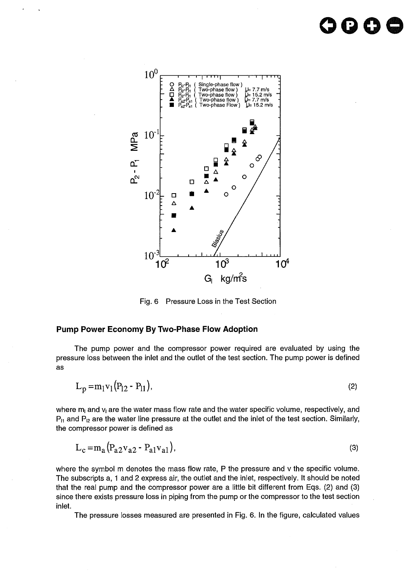# **oooe**



Fig. 6 Pressure Loss in the Test Section

#### **Pump Power Economy By Two-Phase Flow Adoption**

The pump power and the compressor power required are evaluated by using the pressure loss between the inlet and the outlet of the test section. The pump power is defined as

$$
L_p = m_1 v_1 (P_{12} - P_{11}),
$$
\n(2)

where  $m<sub>l</sub>$  and  $v<sub>l</sub>$  are the water mass flow rate and the water specific volume, respectively, and  $P_{11}$  and  $P_{12}$  are the water line pressure at the outlet and the inlet of the test section. Similarly, the compressor power is defined as

$$
L_c = m_a (P_{a2} v_{a2} - P_{a1} v_{a1}),
$$
\n(3)

where the symbol m denotes the mass flow rate, P the pressure and v the specific volume. The subscripts a, 1 and 2 express air, the outlet and the inlet, respectively. It should be noted that the real pump and the compressor power are a little bit different from Eqs. (2) and (3) since there exists pressure loss in piping from the pump or the compressor to the test section inlet.

The pressure losses measured are presented in Fig. 6. In the figure, calculated values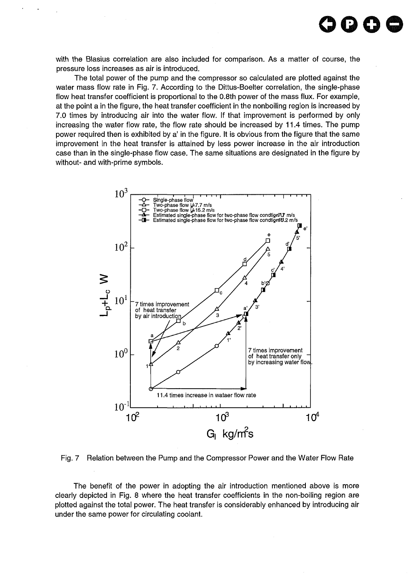with the Blasius correlation are also included for comparison. As a matter of course, the pressure loss increases as air is introduced.

**OGOO**

The total power of the pump and the compressor so calculated are plotted against the water mass flow rate in Fig. 7. According to the Dittus-Boelter correlation, the single-phase flow heat transfer coefficient is proportional to the 0.8th power of the mass flux. For example, at the point a in the figure, the heat transfer coefficient in the nonboiling region is increased by 7.0 times by introducing air into the water flow. If that improvement is performed by only increasing the water flow rate, the flow rate should be increased by 11.4 times. The pump power required then is exhibited by a' in the figure. It is obvious from the figure that the same improvement in the heat transfer is attained by less power increase in the air introduction case than in the single-phase flow case. The same situations are designated in the figure by without- and with-prime symbols.



Fig. 7 Relation between the Pump and the Compressor Power and the Water Flow Rate

The benefit of the power in adopting the air introduction mentioned above is more clearly depicted in Fig. 8 where the heat transfer coefficients in the non-boiling region are plotted against the total power. The heat transfer is considerably enhanced by introducing air under the same power for circulating coolant.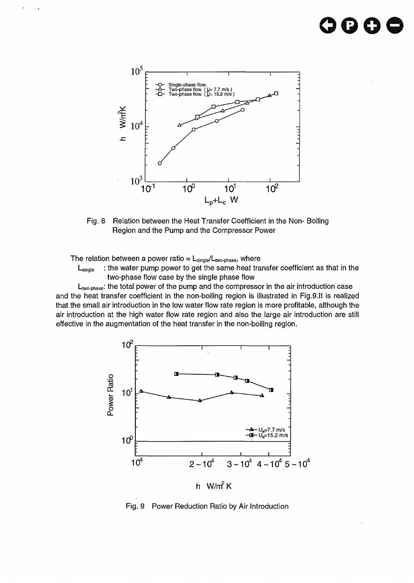## **OGO©**



Fig. 8 Relation between the Heat Transfer Coefficient in the Non- Boiling Region and the Pump and the Compressor Power

The relation between a power ratio =  $L_{single}/L_{two-phase}$ , where

: the water pump power to get the same heat transfer coefficient as that in the  $L_{\text{since}}$ two-phase flow case by the single phase flow

 $L_{two-phase}$ : the total power of the pump and the compressor in the air introduction case and the heat transfer coefficient in the non-boiling region is illustrated in Fig.9.It is realized that the small air introduction in the low water flow rate region is more profitable, although the air introduction at the high water flow rate region and also the large air introduction are still effective in the augmentation of the heat transfer in the non-boiling region.



Fig. 9 Power Reduction Ratio by Air Introduction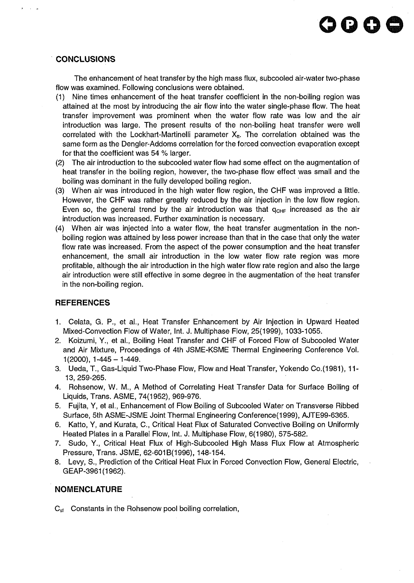#### **CONCLUSIONS**

The enhancement of heat transfer by the high mass flux, subcooled air-water two-phase flow was examined. Following conclusions were obtained.

- (1) Nine times enhancement of the heat transfer coefficient in the non-boiling region was attained at the most by introducing the air flow into the water single-phase flow. The heat transfer improvement was prominent when the water flow rate was low and the air introduction was large. The present results of the non-boiling heat transfer were well correlated with the Lockhart-Martinelli parameter  $X_{tt}$ . The correlation obtained was the same form as the Dengler-Addoms correlation for the forced convection evaporation except for that the coefficient was 54 % larger.
- (2) The air introduction to the subcooled water flow had some effect on the augmentation of heat transfer in the boiling region, however, the two-phase flow effect was small and the boiling was dominant in the fully developed boiling region.
- (3) When air was introduced in the high water flow region, the CHF was improved a little. However, the CHF was rather greatly reduced by the air injection in the low flow region. Even so, the general trend by the air introduction was that  $q_{CHF}$  increased as the air introduction was increased. Further examination is necessary.
- (4) When air was injected into a water flow, the heat transfer augmentation in the nonboiling region was attained by less power increase than that in the case that only the water flow rate was increased. From the aspect of the power consumption and the heat transfer enhancement, the small air introduction in the low water flow rate region was more profitable, although the air introduction in the high water flow rate region and also the large air introduction were still effective in some degree in the augmentation of the heat transfer in the non-boiling region.

#### **REFERENCES**

- 1. Celata, G. P., et al., Heat Transfer Enhancement by Air Injection in Upward Heated Mixed-Convection Flow of Water, Int. J. Multiphase Flow, 25(1999), 1033-1055.
- 2. Koizumi, Y., et al., Boiling Heat Transfer and CHF of Forced Flow of Subcooled Water and Air Mixture, Proceedings of 4th JSME-KSME Thermal Engineering Conference Vol.  $1(2000)$ ,  $1-445-1-449$ .
- 3. Ueda, T., Gas-Liquid Two-Phase Flow, Flow and Heat Transfer, Yokendo Co.(1981), 11- 13,259-265.
- 4. Rohsenow, W. M., A Method of Correlating Heat Transfer Data for Surface Boiling of Liquids, Trans. ASME, 74(1952), 969-976.
- 5. Fujita, Y, et al., Enhancement of Flow Boiling of Subcooled Water on Transverse Ribbed Surface, 5th ASME-JSME Joint Thermal Engineering Conference(1999), AJTE99-6365.
- 6. Katto, Y, and Kurata, C, Critical Heat Flux of Saturated Convective Boiling on Uniformly Heated Plates in a Parallel Flow, Int. J. Multiphase Flow, 6(1980), 575-582.
- 7. Sudo, Y., Critical Heat Flux of High-Subcooled High Mass Flux Flow at Atmospheric Pressure, Trans. JSME, 62-601B(1996), 148-154.
- 8. Levy, S., Prediction of the Critical Heat Flux in Forced Convection Flow, General Electric, GEAP-3961(1962).

#### **NOMENCLATURE**

 $C_{\text{sf}}$  Constants in the Rohsenow pool boiling correlation,